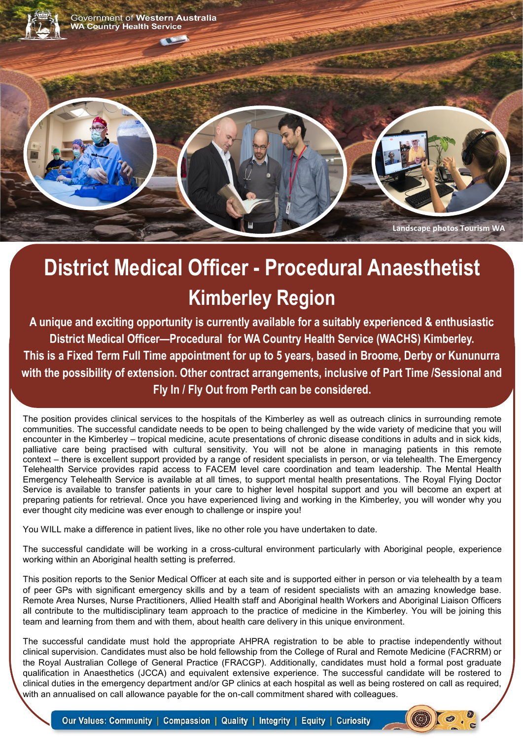

# **District Medical Officer - Procedural Anaesthetist Kimberley Region**

**A unique and exciting opportunity is currently available for a suitably experienced & enthusiastic District Medical Officer—Procedural for WA Country Health Service (WACHS) Kimberley. This is a Fixed Term Full Time appointment for up to 5 years, based in Broome, Derby or Kununurra with the possibility of extension. Other contract arrangements, inclusive of Part Time /Sessional and Fly In / Fly Out from Perth can be considered.**

The position provides clinical services to the hospitals of the Kimberley as well as outreach clinics in surrounding remote communities. The successful candidate needs to be open to being challenged by the wide variety of medicine that you will encounter in the Kimberley – tropical medicine, acute presentations of chronic disease conditions in adults and in sick kids, palliative care being practised with cultural sensitivity. You will not be alone in managing patients in this remote context – there is excellent support provided by a range of resident specialists in person, or via telehealth. The Emergency Telehealth Service provides rapid access to FACEM level care coordination and team leadership. The Mental Health Emergency Telehealth Service is available at all times, to support mental health presentations. The Royal Flying Doctor Service is available to transfer patients in your care to higher level hospital support and you will become an expert at preparing patients for retrieval. Once you have experienced living and working in the Kimberley, you will wonder why you ever thought city medicine was ever enough to challenge or inspire you!

You WILL make a difference in patient lives, like no other role you have undertaken to date.

The successful candidate will be working in a cross-cultural environment particularly with Aboriginal people, experience working within an Aboriginal health setting is preferred.

This position reports to the Senior Medical Officer at each site and is supported either in person or via telehealth by a team of peer GPs with significant emergency skills and by a team of resident specialists with an amazing knowledge base. Remote Area Nurses, Nurse Practitioners, Allied Health staff and Aboriginal health Workers and Aboriginal Liaison Officers all contribute to the multidisciplinary team approach to the practice of medicine in the Kimberley. You will be joining this team and learning from them and with them, about health care delivery in this unique environment.

The successful candidate must hold the appropriate AHPRA registration to be able to practise independently without clinical supervision. Candidates must also be hold fellowship from the College of Rural and Remote Medicine (FACRRM) or the Royal Australian College of General Practice (FRACGP). Additionally, candidates must hold a formal post graduate qualification in Anaesthetics (JCCA) and equivalent extensive experience. The successful candidate will be rostered to clinical duties in the emergency department and/or GP clinics at each hospital as well as being rostered on call as required, with an annualised on call allowance payable for the on-call commitment shared with colleagues.